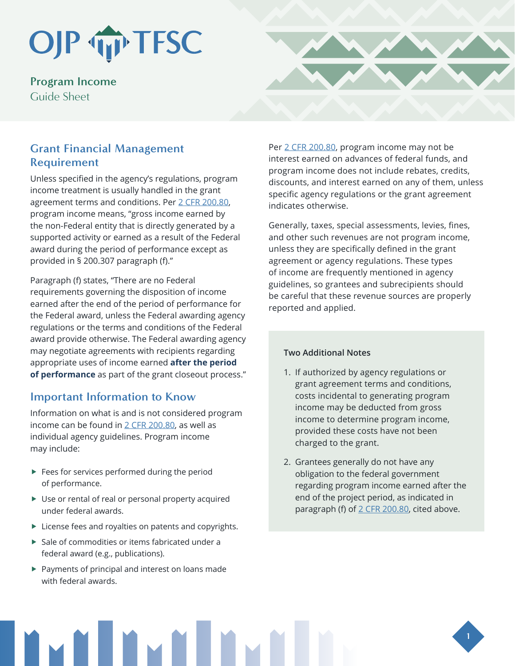# OJP TIP TFSC

**Program Income**  Guide Sheet

## **Grant Financial Management Requirement**

Unless specified in the agency's regulations, program income treatment is usually handled in the grant agreement terms and conditions. Per [2 CFR 200.80,](https://www.govinfo.gov/content/pkg/CFR-2017-title2-vol1/pdf/CFR-2017-title2-vol1-sec200-80.pdf) program income means, "gross income earned by the non-Federal entity that is directly generated by a supported activity or earned as a result of the Federal award during the period of performance except as provided in § 200.307 paragraph (f)."

Paragraph (f) states, "There are no Federal requirements governing the disposition of income earned after the end of the period of performance for the Federal award, unless the Federal awarding agency regulations or the terms and conditions of the Federal award provide otherwise. The Federal awarding agency may negotiate agreements with recipients regarding appropriate uses of income earned **after the period of performance** as part of the grant closeout process."

## **Important Information to Know**

Information on what is and is not considered program income can be found in  $2$  CFR 200.80, as well as individual agency guidelines. Program income may include:

- $\blacktriangleright$  Fees for services performed during the period of performance.
- $\blacktriangleright$  Use or rental of real or personal property acquired under federal awards.
- $\blacktriangleright$  License fees and royalties on patents and copyrights.
- $\blacktriangleright$  Sale of commodities or items fabricated under a federal award (e.g., publications).
- $\blacktriangleright$  Payments of principal and interest on loans made with federal awards.

Per [2 CFR 200.80](https://www.law.cornell.edu/cfr/text/2/200.80), program income may not be interest earned on advances of federal funds, and program income does not include rebates, credits, discounts, and interest earned on any of them, unless specific agency regulations or the grant agreement indicates otherwise.

Generally, taxes, special assessments, levies, fines, and other such revenues are not program income, unless they are specifically defined in the grant agreement or agency regulations. These types of income are frequently mentioned in agency guidelines, so grantees and subrecipients should be careful that these revenue sources are properly reported and applied.

#### **Two Additional Notes**

- 1. If authorized by agency regulations or grant agreement terms and conditions, costs incidental to generating program income may be deducted from gross income to determine program income, provided these costs have not been charged to the grant.
- 2. Grantees generally do not have any obligation to the federal government regarding program income earned after the end of the project period, as indicated in paragraph (f) of [2 CFR 200.80](https://www.law.cornell.edu/cfr/text/2/200.80), cited above.



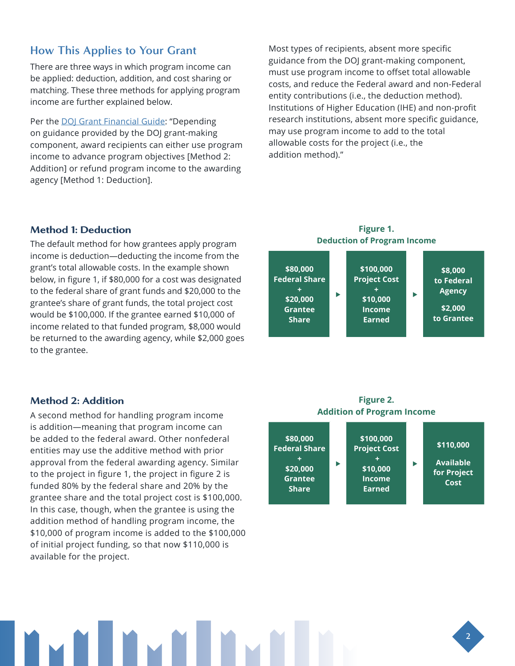## **How This Applies to Your Grant**

There are three ways in which program income can be applied: deduction, addition, and cost sharing or matching. These three methods for applying program income are further explained below.

Per the [DOJ Grant Financial Guide](https://www.ojp.gov/funding/financialguidedoj/overview): "Depending on guidance provided by the DOJ grant-making component, award recipients can either use program income to advance program objectives [Method 2: Addition] or refund program income to the awarding agency [Method 1: Deduction].

Most types of recipients, absent more specific guidance from the DOJ grant-making component, must use program income to offset total allowable costs, and reduce the Federal award and non-Federal entity contributions (i.e., the deduction method). Institutions of Higher Education (IHE) and non-profit research institutions, absent more specific guidance, may use program income to add to the total allowable costs for the project (i.e., the addition method)."

### Method 1: Deduction

The default method for how grantees apply program income is deduction—deducting the income from the grant's total allowable costs. In the example shown below, in figure 1, if \$80,000 for a cost was designated to the federal share of grant funds and \$20,000 to the grantee's share of grant funds, the total project cost would be \$100,000. If the grantee earned \$10,000 of income related to that funded program, \$8,000 would be returned to the awarding agency, while \$2,000 goes to the grantee.

#### Method 2: Addition

A second method for handling program income is addition—meaning that program income can be added to the federal award. Other nonfederal entities may use the additive method with prior approval from the federal awarding agency. Similar to the project in figure 1, the project in figure 2 is funded 80% by the federal share and 20% by the grantee share and the total project cost is \$100,000. In this case, though, when the grantee is using the addition method of handling program income, the \$10,000 of program income is added to the \$100,000 of initial project funding, so that now \$110,000 is available for the project.



#### **Figure 2. Addition of Program Income**